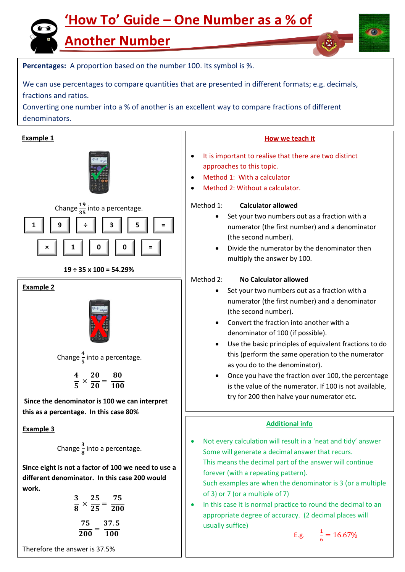## **'How To' Guide – One Number as a % of**

**Another Number**



E.g.  $\frac{1}{6} = 16.67\%$ 

**Percentages:** A proportion based on the number 100. Its symbol is %.

We can use percentages to compare quantities that are presented in different formats; e.g. decimals, fractions and ratios.

Converting one number into a % of another is an excellent way to compare fractions of different denominators.